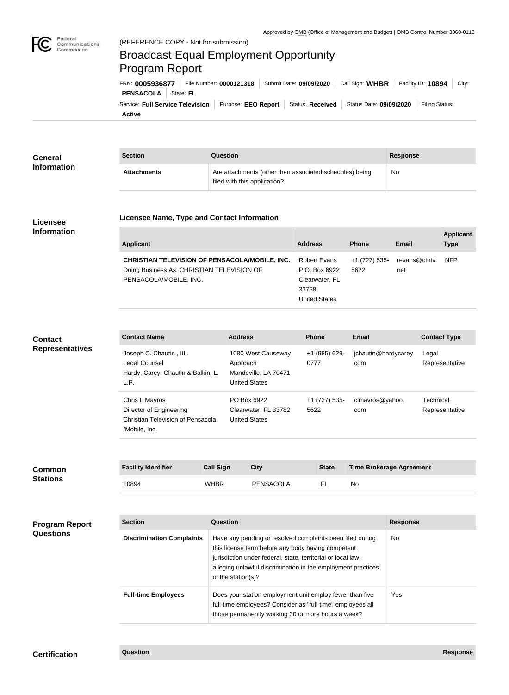

## Federal<br>Communications<br>Commission (REFERENCE COPY - Not for submission) Broadcast Equal Employment Opportunity Program ReportFRN: **0005936877** File Number: **0000121318** Submit Date: **09/09/2020** Call Sign: **WHBR** Facility ID: **10894** City: **PENSACOLA** State: FL Service: Full Service Television | Purpose: EEO Report | Status: Received | Status Date: 09/09/2020 | Filing Status:

**Active**

| <b>General</b>     | <b>Section</b>     | Question                                                                                | Response |
|--------------------|--------------------|-----------------------------------------------------------------------------------------|----------|
| <b>Information</b> | <b>Attachments</b> | Are attachments (other than associated schedules) being<br>filed with this application? | No       |

## **Licensee Information**

**Licensee Name, Type and Contact Information**

| <b>Applicant</b>                                      | <b>Address</b>       | <b>Phone</b>  | Email         | <b>Applicant</b><br><b>Type</b> |
|-------------------------------------------------------|----------------------|---------------|---------------|---------------------------------|
| <b>CHRISTIAN TELEVISION OF PENSACOLA/MOBILE, INC.</b> | <b>Robert Evans</b>  | +1 (727) 535- | revans@ctntv. | <b>NFP</b>                      |
| Doing Business As: CHRISTIAN TELEVISION OF            | P.O. Box 6922        | 5622          | net           |                                 |
| PENSACOLA/MOBILE, INC.                                | Clearwater, FL       |               |               |                                 |
|                                                       | 33758                |               |               |                                 |
|                                                       | <b>United States</b> |               |               |                                 |

## **Contact Representatives**

| <b>Contact Name</b>                                                                             | <b>Address</b>                                                                 | <b>Phone</b>          | Email                       | <b>Contact Type</b>         |
|-------------------------------------------------------------------------------------------------|--------------------------------------------------------------------------------|-----------------------|-----------------------------|-----------------------------|
| Joseph C. Chautin, III.<br>Legal Counsel<br>Hardy, Carey, Chautin & Balkin, L.<br>L.P.          | 1080 West Causeway<br>Approach<br>Mandeville, LA 70471<br><b>United States</b> | +1 (985) 629-<br>0777 | jchautin@hardycarey.<br>com | Legal<br>Representative     |
| Chris L Mayros<br>Director of Engineering<br>Christian Television of Pensacola<br>/Mobile, Inc. | PO Box 6922<br>Clearwater, FL 33782<br><b>United States</b>                    | +1 (727) 535-<br>5622 | clmavros@yahoo.<br>com      | Technical<br>Representative |

| <b>Common</b><br><b>Stations</b>          | <b>Facility Identifier</b>       | <b>Call Sign</b>   | <b>City</b>                                                                                                                                                                                                                                     | <b>State</b> |           | <b>Time Brokerage Agreement</b> |
|-------------------------------------------|----------------------------------|--------------------|-------------------------------------------------------------------------------------------------------------------------------------------------------------------------------------------------------------------------------------------------|--------------|-----------|---------------------------------|
|                                           | 10894                            | <b>WHBR</b>        | PENSACOLA                                                                                                                                                                                                                                       | FL           | <b>No</b> |                                 |
| <b>Program Report</b><br><b>Questions</b> | <b>Section</b>                   | Question           |                                                                                                                                                                                                                                                 |              |           | <b>Response</b>                 |
|                                           | <b>Discrimination Complaints</b> | of the station(s)? | Have any pending or resolved complaints been filed during<br>this license term before any body having competent<br>jurisdiction under federal, state, territorial or local law,<br>alleging unlawful discrimination in the employment practices |              |           | <b>No</b>                       |
|                                           | <b>Full-time Employees</b>       |                    | Does your station employment unit employ fewer than five<br>full-time employees? Consider as "full-time" employees all<br>those permanently working 30 or more hours a week?                                                                    |              |           | Yes                             |